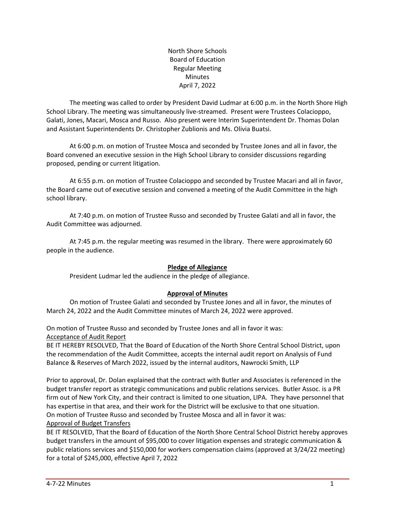North Shore Schools Board of Education Regular Meeting Minutes April 7, 2022

The meeting was called to order by President David Ludmar at 6:00 p.m. in the North Shore High School Library. The meeting was simultaneously live-streamed. Present were Trustees Colacioppo, Galati, Jones, Macari, Mosca and Russo. Also present were Interim Superintendent Dr. Thomas Dolan and Assistant Superintendents Dr. Christopher Zublionis and Ms. Olivia Buatsi.

At 6:00 p.m. on motion of Trustee Mosca and seconded by Trustee Jones and all in favor, the Board convened an executive session in the High School Library to consider discussions regarding proposed, pending or current litigation.

At 6:55 p.m. on motion of Trustee Colacioppo and seconded by Trustee Macari and all in favor, the Board came out of executive session and convened a meeting of the Audit Committee in the high school library.

At 7:40 p.m. on motion of Trustee Russo and seconded by Trustee Galati and all in favor, the Audit Committee was adjourned.

At 7:45 p.m. the regular meeting was resumed in the library. There were approximately 60 people in the audience.

### **Pledge of Allegiance**

President Ludmar led the audience in the pledge of allegiance.

### **Approval of Minutes**

On motion of Trustee Galati and seconded by Trustee Jones and all in favor, the minutes of March 24, 2022 and the Audit Committee minutes of March 24, 2022 were approved.

On motion of Trustee Russo and seconded by Trustee Jones and all in favor it was: Acceptance of Audit Report

BE IT HEREBY RESOLVED, That the Board of Education of the North Shore Central School District, upon the recommendation of the Audit Committee, accepts the internal audit report on Analysis of Fund Balance & Reserves of March 2022, issued by the internal auditors, Nawrocki Smith, LLP

Prior to approval, Dr. Dolan explained that the contract with Butler and Associates is referenced in the budget transfer report as strategic communications and public relations services. Butler Assoc. is a PR firm out of New York City, and their contract is limited to one situation, LIPA. They have personnel that has expertise in that area, and their work for the District will be exclusive to that one situation. On motion of Trustee Russo and seconded by Trustee Mosca and all in favor it was: Approval of Budget Transfers

BE IT RESOLVED, That the Board of Education of the North Shore Central School District hereby approves budget transfers in the amount of \$95,000 to cover litigation expenses and strategic communication & public relations services and \$150,000 for workers compensation claims (approved at 3/24/22 meeting) for a total of \$245,000, effective April 7, 2022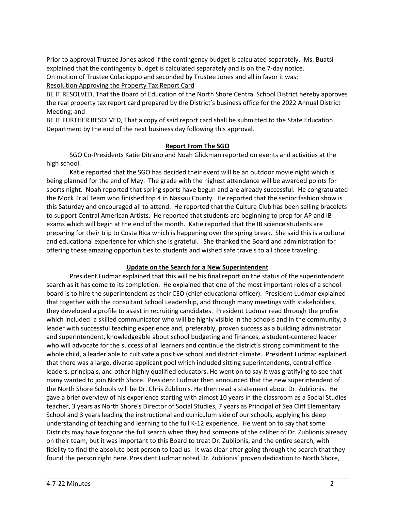Prior to approval Trustee Jones asked if the contingency budget is calculated separately. Ms. Buatsi explained that the contingency budget is calculated separately and is on the 7-day notice. On motion of Trustee Colacioppo and seconded by Trustee Jones and all in favor it was:

Resolution Approving the Property Tax Report Card

BE IT RESOLVED, That the Board of Education of the North Shore Central School District hereby approves the real property tax report card prepared by the District's business office for the 2022 Annual District Meeting; and

BE IT FURTHER RESOLVED, That a copy of said report card shall be submitted to the State Education Department by the end of the next business day following this approval.

### **Report From The SGO**

SGO Co-Presidents Katie Ditrano and Noah Glickman reported on events and activities at the high school.

Katie reported that the SGO has decided their event will be an outdoor movie night which is being planned for the end of May. The grade with the highest attendance will be awarded points for sports night. Noah reported that spring sports have begun and are already successful. He congratulated the Mock Trial Team who finished top 4 in Nassau County. He reported that the senior fashion show is this Saturday and encouraged all to attend. He reported that the Culture Club has been selling bracelets to support Central American Artists. He reported that students are beginning to prep for AP and IB exams which will begin at the end of the month. Katie reported that the IB science students are preparing for their trip to Costa Rica which is happening over the spring break. She said this is a cultural and educational experience for which she is grateful. She thanked the Board and administration for offering these amazing opportunities to students and wished safe travels to all those traveling.

### **Update on the Search for a New Superintendent**

President Ludmar explained that this will be his final report on the status of the superintendent search as it has come to its completion. He explained that one of the most important roles of a school board is to hire the superintendent as their CEO (chief educational officer). President Ludmar explained that together with the consultant School Leadership, and through many meetings with stakeholders, they developed a profile to assist in recruiting candidates. President Ludmar read through the profile which included: a skilled communicator who will be highly visible in the schools and in the community, a leader with successful teaching experience and, preferably, proven success as a building administrator and superintendent, knowledgeable about school budgeting and finances, a student-centered leader who will advocate for the success of all learners and continue the district's strong commitment to the whole child, a leader able to cultivate a positive school and district climate. President Ludmar explained that there was a large, diverse applicant pool which included sitting superintendents, central office leaders, principals, and other highly qualified educators. He went on to say it was gratifying to see that many wanted to join North Shore. President Ludmar then announced that the new superintendent of the North Shore Schools will be Dr. Chris Zublionis. He then read a statement about Dr. Zublionis. He gave a brief overview of his experience starting with almost 10 years in the classroom as a Social Studies teacher, 3 years as North Shore's Director of Social Studies, 7 years as Principal of Sea Cliff Elementary School and 3 years leading the instructional and curriculum side of our schools, applying his deep understanding of teaching and learning to the full K-12 experience. He went on to say that some Districts may have forgone the full search when they had someone of the caliber of Dr. Zublionis already on their team, but it was important to this Board to treat Dr. Zublionis, and the entire search, with fidelity to find the absolute best person to lead us. It was clear after going through the search that they found the person right here. President Ludmar noted Dr. Zublionis' proven dedication to North Shore,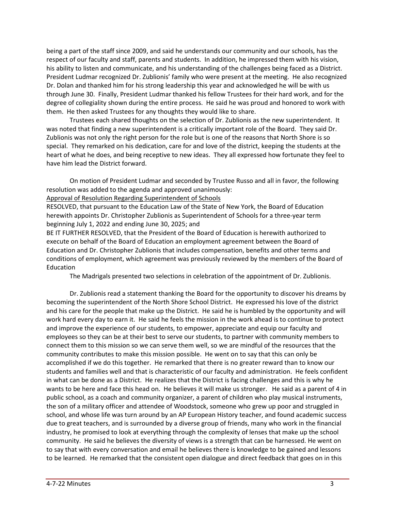being a part of the staff since 2009, and said he understands our community and our schools, has the respect of our faculty and staff, parents and students. In addition, he impressed them with his vision, his ability to listen and communicate, and his understanding of the challenges being faced as a District. President Ludmar recognized Dr. Zublionis' family who were present at the meeting. He also recognized Dr. Dolan and thanked him for his strong leadership this year and acknowledged he will be with us through June 30. Finally, President Ludmar thanked his fellow Trustees for their hard work, and for the degree of collegiality shown during the entire process. He said he was proud and honored to work with them. He then asked Trustees for any thoughts they would like to share.

Trustees each shared thoughts on the selection of Dr. Zublionis as the new superintendent. It was noted that finding a new superintendent is a critically important role of the Board. They said Dr. Zublionis was not only the right person for the role but is one of the reasons that North Shore is so special. They remarked on his dedication, care for and love of the district, keeping the students at the heart of what he does, and being receptive to new ideas. They all expressed how fortunate they feel to have him lead the District forward.

On motion of President Ludmar and seconded by Trustee Russo and all in favor, the following resolution was added to the agenda and approved unanimously:

Approval of Resolution Regarding Superintendent of Schools

RESOLVED, that pursuant to the Education Law of the State of New York, the Board of Education herewith appoints Dr. Christopher Zublionis as Superintendent of Schools for a three-year term beginning July 1, 2022 and ending June 30, 2025; and

BE IT FURTHER RESOLVED, that the President of the Board of Education is herewith authorized to execute on behalf of the Board of Education an employment agreement between the Board of Education and Dr. Christopher Zublionis that includes compensation, benefits and other terms and conditions of employment, which agreement was previously reviewed by the members of the Board of Education

The Madrigals presented two selections in celebration of the appointment of Dr. Zublionis.

Dr. Zublionis read a statement thanking the Board for the opportunity to discover his dreams by becoming the superintendent of the North Shore School District. He expressed his love of the district and his care for the people that make up the District. He said he is humbled by the opportunity and will work hard every day to earn it. He said he feels the mission in the work ahead is to continue to protect and improve the experience of our students, to empower, appreciate and equip our faculty and employees so they can be at their best to serve our students, to partner with community members to connect them to this mission so we can serve them well, so we are mindful of the resources that the community contributes to make this mission possible. He went on to say that this can only be accomplished if we do this together. He remarked that there is no greater reward than to know our students and families well and that is characteristic of our faculty and administration. He feels confident in what can be done as a District. He realizes that the District is facing challenges and this is why he wants to be here and face this head on. He believes it will make us stronger. He said as a parent of 4 in public school, as a coach and community organizer, a parent of children who play musical instruments, the son of a military officer and attendee of Woodstock, someone who grew up poor and struggled in school, and whose life was turn around by an AP European History teacher, and found academic success due to great teachers, and is surrounded by a diverse group of friends, many who work in the financial industry, he promised to look at everything through the complexity of lenses that make up the school community. He said he believes the diversity of views is a strength that can be harnessed. He went on to say that with every conversation and email he believes there is knowledge to be gained and lessons to be learned. He remarked that the consistent open dialogue and direct feedback that goes on in this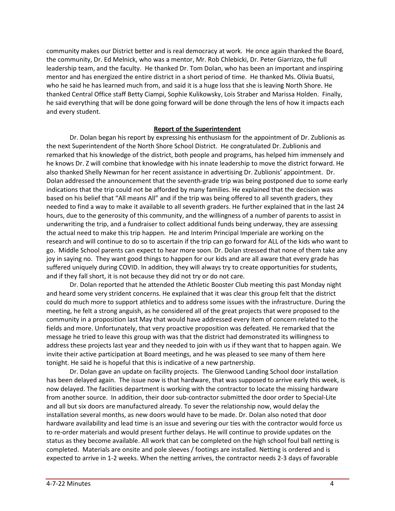community makes our District better and is real democracy at work. He once again thanked the Board, the community, Dr. Ed Melnick, who was a mentor, Mr. Rob Chlebicki, Dr. Peter Giarrizzo, the full leadership team, and the faculty. He thanked Dr. Tom Dolan, who has been an important and inspiring mentor and has energized the entire district in a short period of time. He thanked Ms. Olivia Buatsi, who he said he has learned much from, and said it is a huge loss that she is leaving North Shore. He thanked Central Office staff Betty Ciampi, Sophie Kulikowsky, Lois Straber and Marissa Holden. Finally, he said everything that will be done going forward will be done through the lens of how it impacts each and every student.

#### **Report of the Superintendent**

Dr. Dolan began his report by expressing his enthusiasm for the appointment of Dr. Zublionis as the next Superintendent of the North Shore School District. He congratulated Dr. Zublionis and remarked that his knowledge of the district, both people and programs, has helped him immensely and he knows Dr. Z will combine that knowledge with his innate leadership to move the district forward. He also thanked Shelly Newman for her recent assistance in advertising Dr. Zublionis' appointment. Dr. Dolan addressed the announcement that the seventh-grade trip was being postponed due to some early indications that the trip could not be afforded by many families. He explained that the decision was based on his belief that "All means All" and if the trip was being offered to all seventh graders, they needed to find a way to make it available to all seventh graders. He further explained that in the last 24 hours, due to the generosity of this community, and the willingness of a number of parents to assist in underwriting the trip, and a fundraiser to collect additional funds being underway, they are assessing the actual need to make this trip happen. He and Interim Principal Imperiale are working on the research and will continue to do so to ascertain if the trip can go forward for ALL of the kids who want to go. Middle School parents can expect to hear more soon. Dr. Dolan stressed that none of them take any joy in saying no. They want good things to happen for our kids and are all aware that every grade has suffered uniquely during COVID. In addition, they will always try to create opportunities for students, and if they fall short, it is not because they did not try or do not care.

Dr. Dolan reported that he attended the Athletic Booster Club meeting this past Monday night and heard some very strident concerns. He explained that it was clear this group felt that the district could do much more to support athletics and to address some issues with the infrastructure. During the meeting, he felt a strong anguish, as he considered all of the great projects that were proposed to the community in a proposition last May that would have addressed every item of concern related to the fields and more. Unfortunately, that very proactive proposition was defeated. He remarked that the message he tried to leave this group with was that the district had demonstrated its willingness to address these projects last year and they needed to join with us if they want that to happen again. We invite their active participation at Board meetings, and he was pleased to see many of them here tonight. He said he is hopeful that this is indicative of a new partnership.

Dr. Dolan gave an update on facility projects. The Glenwood Landing School door installation has been delayed again. The issue now is that hardware, that was supposed to arrive early this week, is now delayed. The facilities department is working with the contractor to locate the missing hardware from another source. In addition, their door sub-contractor submitted the door order to Special-Lite and all but six doors are manufactured already. To sever the relationship now, would delay the installation several months, as new doors would have to be made. Dr. Dolan also noted that door hardware availability and lead time is an issue and severing our ties with the contractor would force us to re-order materials and would present further delays. He will continue to provide updates on the status as they become available. All work that can be completed on the high school foul ball netting is completed. Materials are onsite and pole sleeves / footings are installed. Netting is ordered and is expected to arrive in 1-2 weeks. When the netting arrives, the contractor needs 2-3 days of favorable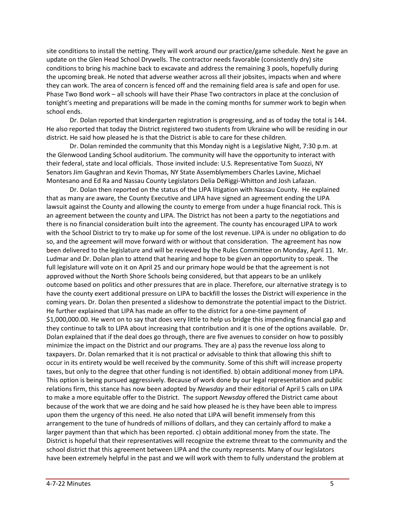site conditions to install the netting. They will work around our practice/game schedule. Next he gave an update on the Glen Head School Drywells. The contractor needs favorable (consistently dry) site conditions to bring his machine back to excavate and address the remaining 3 pools, hopefully during the upcoming break. He noted that adverse weather across all their jobsites, impacts when and where they can work. The area of concern is fenced off and the remaining field area is safe and open for use. Phase Two Bond work – all schools will have their Phase Two contractors in place at the conclusion of tonight's meeting and preparations will be made in the coming months for summer work to begin when school ends.

Dr. Dolan reported that kindergarten registration is progressing, and as of today the total is 144. He also reported that today the District registered two students from Ukraine who will be residing in our district. He said how pleased he is that the District is able to care for these children.

Dr. Dolan reminded the community that this Monday night is a Legislative Night, 7:30 p.m. at the Glenwood Landing School auditorium. The community will have the opportunity to interact with their federal, state and local officials. Those invited include: U.S. Representative Tom Suozzi, NY Senators Jim Gaughran and Kevin Thomas, NY State Assemblymembers Charles Lavine, Michael Montesano and Ed Ra and Nassau County Legislators Delia DeRiggi-Whitton and Josh Lafazan.

Dr. Dolan then reported on the status of the LIPA litigation with Nassau County. He explained that as many are aware, the County Executive and LIPA have signed an agreement ending the LIPA lawsuit against the County and allowing the county to emerge from under a huge financial rock. This is an agreement between the county and LIPA. The District has not been a party to the negotiations and there is no financial consideration built into the agreement. The county has encouraged LIPA to work with the School District to try to make up for some of the lost revenue. LIPA is under no obligation to do so, and the agreement will move forward with or without that consideration. The agreement has now been delivered to the legislature and will be reviewed by the Rules Committee on Monday, April 11. Mr. Ludmar and Dr. Dolan plan to attend that hearing and hope to be given an opportunity to speak. The full legislature will vote on it on April 25 and our primary hope would be that the agreement is not approved without the North Shore Schools being considered, but that appears to be an unlikely outcome based on politics and other pressures that are in place. Therefore, our alternative strategy is to have the county exert additional pressure on LIPA to backfill the losses the District will experience in the coming years. Dr. Dolan then presented a slideshow to demonstrate the potential impact to the District. He further explained that LIPA has made an offer to the district for a one-time payment of \$1,000,000.00. He went on to say that does very little to help us bridge this impending financial gap and they continue to talk to LIPA about increasing that contribution and it is one of the options available. Dr. Dolan explained that if the deal does go through, there are five avenues to consider on how to possibly minimize the impact on the District and our programs. They are a) pass the revenue loss along to taxpayers. Dr. Dolan remarked that it is not practical or advisable to think that allowing this shift to occur in its entirety would be well received by the community. Some of this shift will increase property taxes, but only to the degree that other funding is not identified. b) obtain additional money from LIPA. This option is being pursued aggressively. Because of work done by our legal representation and public relations firm, this stance has now been adopted by *Newsday* and their editorial of April 5 calls on LIPA to make a more equitable offer to the District. The support *Newsday* offered the District came about because of the work that we are doing and he said how pleased he is they have been able to impress upon them the urgency of this need. He also noted that LIPA will benefit immensely from this arrangement to the tune of hundreds of millions of dollars, and they can certainly afford to make a larger payment than that which has been reported. c) obtain additional money from the state. The District is hopeful that their representatives will recognize the extreme threat to the community and the school district that this agreement between LIPA and the county represents. Many of our legislators have been extremely helpful in the past and we will work with them to fully understand the problem at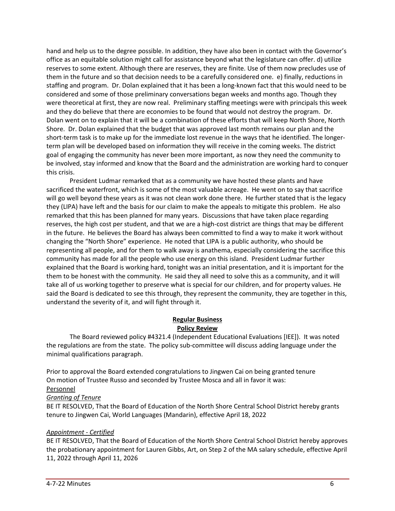hand and help us to the degree possible. In addition, they have also been in contact with the Governor's office as an equitable solution might call for assistance beyond what the legislature can offer. d) utilize reserves to some extent. Although there are reserves, they are finite. Use of them now precludes use of them in the future and so that decision needs to be a carefully considered one. e) finally, reductions in staffing and program. Dr. Dolan explained that it has been a long-known fact that this would need to be considered and some of those preliminary conversations began weeks and months ago. Though they were theoretical at first, they are now real. Preliminary staffing meetings were with principals this week and they do believe that there are economies to be found that would not destroy the program. Dr. Dolan went on to explain that it will be a combination of these efforts that will keep North Shore, North Shore. Dr. Dolan explained that the budget that was approved last month remains our plan and the short-term task is to make up for the immediate lost revenue in the ways that he identified. The longerterm plan will be developed based on information they will receive in the coming weeks. The district goal of engaging the community has never been more important, as now they need the community to be involved, stay informed and know that the Board and the administration are working hard to conquer this crisis.

President Ludmar remarked that as a community we have hosted these plants and have sacrificed the waterfront, which is some of the most valuable acreage. He went on to say that sacrifice will go well beyond these years as it was not clean work done there. He further stated that is the legacy they (LIPA) have left and the basis for our claim to make the appeals to mitigate this problem. He also remarked that this has been planned for many years. Discussions that have taken place regarding reserves, the high cost per student, and that we are a high-cost district are things that may be different in the future. He believes the Board has always been committed to find a way to make it work without changing the "North Shore" experience. He noted that LIPA is a public authority, who should be representing all people, and for them to walk away is anathema, especially considering the sacrifice this community has made for all the people who use energy on this island. President Ludmar further explained that the Board is working hard, tonight was an initial presentation, and it is important for the them to be honest with the community. He said they all need to solve this as a community, and it will take all of us working together to preserve what is special for our children, and for property values. He said the Board is dedicated to see this through, they represent the community, they are together in this, understand the severity of it, and will fight through it.

### **Regular Business Policy Review**

The Board reviewed policy #4321.4 (Independent Educational Evaluations [IEE]). It was noted the regulations are from the state. The policy sub-committee will discuss adding language under the minimal qualifications paragraph.

Prior to approval the Board extended congratulations to Jingwen Cai on being granted tenure On motion of Trustee Russo and seconded by Trustee Mosca and all in favor it was:

### Personnel

# *Granting of Tenure*

BE IT RESOLVED, That the Board of Education of the North Shore Central School District hereby grants tenure to Jingwen Cai, World Languages (Mandarin), effective April 18, 2022

# *Appointment - Certified*

BE IT RESOLVED, That the Board of Education of the North Shore Central School District hereby approves the probationary appointment for Lauren Gibbs, Art, on Step 2 of the MA salary schedule, effective April 11, 2022 through April 11, 2026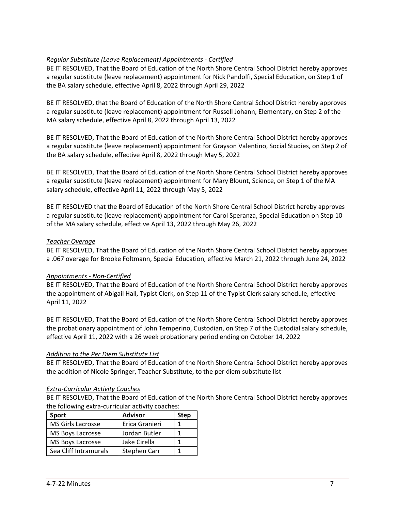# *Regular Substitute (Leave Replacement) Appointments - Certified*

BE IT RESOLVED, That the Board of Education of the North Shore Central School District hereby approves a regular substitute (leave replacement) appointment for Nick Pandolfi, Special Education, on Step 1 of the BA salary schedule, effective April 8, 2022 through April 29, 2022

BE IT RESOLVED, that the Board of Education of the North Shore Central School District hereby approves a regular substitute (leave replacement) appointment for Russell Johann, Elementary, on Step 2 of the MA salary schedule, effective April 8, 2022 through April 13, 2022

BE IT RESOLVED, That the Board of Education of the North Shore Central School District hereby approves a regular substitute (leave replacement) appointment for Grayson Valentino, Social Studies, on Step 2 of the BA salary schedule, effective April 8, 2022 through May 5, 2022

BE IT RESOLVED, That the Board of Education of the North Shore Central School District hereby approves a regular substitute (leave replacement) appointment for Mary Blount, Science, on Step 1 of the MA salary schedule, effective April 11, 2022 through May 5, 2022

BE IT RESOLVED that the Board of Education of the North Shore Central School District hereby approves a regular substitute (leave replacement) appointment for Carol Speranza, Special Education on Step 10 of the MA salary schedule, effective April 13, 2022 through May 26, 2022

### *Teacher Overage*

BE IT RESOLVED, That the Board of Education of the North Shore Central School District hereby approves a .067 overage for Brooke Foltmann, Special Education, effective March 21, 2022 through June 24, 2022

### *Appointments - Non-Certified*

BE IT RESOLVED, That the Board of Education of the North Shore Central School District hereby approves the appointment of Abigail Hall, Typist Clerk, on Step 11 of the Typist Clerk salary schedule, effective April 11, 2022

BE IT RESOLVED, That the Board of Education of the North Shore Central School District hereby approves the probationary appointment of John Temperino, Custodian, on Step 7 of the Custodial salary schedule, effective April 11, 2022 with a 26 week probationary period ending on October 14, 2022

### *Addition to the Per Diem Substitute List*

BE IT RESOLVED, That the Board of Education of the North Shore Central School District hereby approves the addition of Nicole Springer, Teacher Substitute, to the per diem substitute list

### *Extra-Curricular Activity Coaches*

BE IT RESOLVED, That the Board of Education of the North Shore Central School District hereby approves the following extra-curricular activity coaches:

| <b>Sport</b>             | <b>Advisor</b> | <b>Step</b> |
|--------------------------|----------------|-------------|
| <b>MS Girls Lacrosse</b> | Erica Granieri |             |
| MS Boys Lacrosse         | Jordan Butler  |             |
| MS Boys Lacrosse         | Jake Cirella   |             |
| Sea Cliff Intramurals    | Stephen Carr   |             |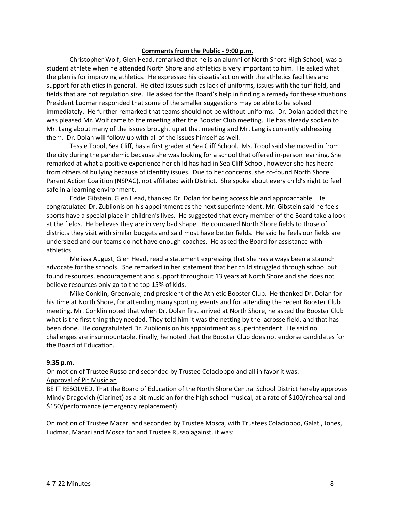#### **Comments from the Public - 9:00 p.m.**

Christopher Wolf, Glen Head, remarked that he is an alumni of North Shore High School, was a student athlete when he attended North Shore and athletics is very important to him. He asked what the plan is for improving athletics. He expressed his dissatisfaction with the athletics facilities and support for athletics in general. He cited issues such as lack of uniforms, issues with the turf field, and fields that are not regulation size. He asked for the Board's help in finding a remedy for these situations. President Ludmar responded that some of the smaller suggestions may be able to be solved immediately. He further remarked that teams should not be without uniforms. Dr. Dolan added that he was pleased Mr. Wolf came to the meeting after the Booster Club meeting. He has already spoken to Mr. Lang about many of the issues brought up at that meeting and Mr. Lang is currently addressing them. Dr. Dolan will follow up with all of the issues himself as well.

Tessie Topol, Sea Cliff, has a first grader at Sea Cliff School. Ms. Topol said she moved in from the city during the pandemic because she was looking for a school that offered in-person learning. She remarked at what a positive experience her child has had in Sea Cliff School, however she has heard from others of bullying because of identity issues. Due to her concerns, she co-found North Shore Parent Action Coalition (NSPAC), not affiliated with District. She spoke about every child's right to feel safe in a learning environment.

Eddie Gibstein, Glen Head, thanked Dr. Dolan for being accessible and approachable. He congratulated Dr. Zublionis on his appointment as the next superintendent. Mr. Gibstein said he feels sports have a special place in children's lives. He suggested that every member of the Board take a look at the fields. He believes they are in very bad shape. He compared North Shore fields to those of districts they visit with similar budgets and said most have better fields. He said he feels our fields are undersized and our teams do not have enough coaches. He asked the Board for assistance with athletics.

Melissa August, Glen Head, read a statement expressing that she has always been a staunch advocate for the schools. She remarked in her statement that her child struggled through school but found resources, encouragement and support throughout 13 years at North Shore and she does not believe resources only go to the top 15% of kids.

Mike Conklin, Greenvale, and president of the Athletic Booster Club. He thanked Dr. Dolan for his time at North Shore, for attending many sporting events and for attending the recent Booster Club meeting. Mr. Conklin noted that when Dr. Dolan first arrived at North Shore, he asked the Booster Club what is the first thing they needed. They told him it was the netting by the lacrosse field, and that has been done. He congratulated Dr. Zublionis on his appointment as superintendent. He said no challenges are insurmountable. Finally, he noted that the Booster Club does not endorse candidates for the Board of Education.

#### **9:35 p.m.**

On motion of Trustee Russo and seconded by Trustee Colacioppo and all in favor it was: Approval of Pit Musician

BE IT RESOLVED, That the Board of Education of the North Shore Central School District hereby approves Mindy Dragovich (Clarinet) as a pit musician for the high school musical, at a rate of \$100/rehearsal and \$150/performance (emergency replacement)

On motion of Trustee Macari and seconded by Trustee Mosca, with Trustees Colacioppo, Galati, Jones, Ludmar, Macari and Mosca for and Trustee Russo against, it was: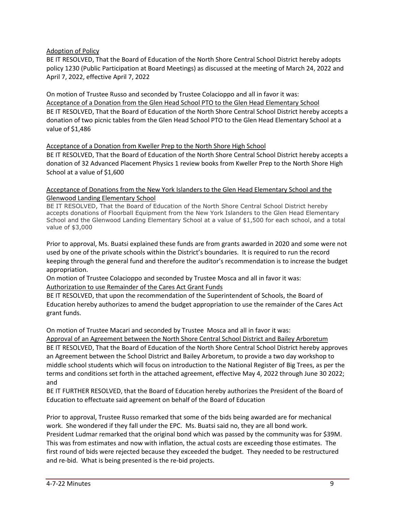### Adoption of Policy

BE IT RESOLVED, That the Board of Education of the North Shore Central School District hereby adopts policy 1230 (Public Participation at Board Meetings) as discussed at the meeting of March 24, 2022 and April 7, 2022, effective April 7, 2022

On motion of Trustee Russo and seconded by Trustee Colacioppo and all in favor it was: Acceptance of a Donation from the Glen Head School PTO to the Glen Head Elementary School BE IT RESOLVED, That the Board of Education of the North Shore Central School District hereby accepts a donation of two picnic tables from the Glen Head School PTO to the Glen Head Elementary School at a value of \$1,486

### Acceptance of a Donation from Kweller Prep to the North Shore High School

BE IT RESOLVED, That the Board of Education of the North Shore Central School District hereby accepts a donation of 32 Advanced Placement Physics 1 review books from Kweller Prep to the North Shore High School at a value of \$1,600

### Acceptance of Donations from the New York Islanders to the Glen Head Elementary School and the Glenwood Landing Elementary School

BE IT RESOLVED, That the Board of Education of the North Shore Central School District hereby accepts donations of Floorball Equipment from the New York Islanders to the Glen Head Elementary School and the Glenwood Landing Elementary School at a value of \$1,500 for each school, and a total value of \$3,000

Prior to approval, Ms. Buatsi explained these funds are from grants awarded in 2020 and some were not used by one of the private schools within the District's boundaries. It is required to run the record keeping through the general fund and therefore the auditor's recommendation is to increase the budget appropriation.

On motion of Trustee Colacioppo and seconded by Trustee Mosca and all in favor it was: Authorization to use Remainder of the Cares Act Grant Funds

BE IT RESOLVED, that upon the recommendation of the Superintendent of Schools, the Board of Education hereby authorizes to amend the budget appropriation to use the remainder of the Cares Act grant funds.

On motion of Trustee Macari and seconded by Trustee Mosca and all in favor it was:

Approval of an Agreement between the North Shore Central School District and Bailey Arboretum BE IT RESOLVED, That the Board of Education of the North Shore Central School District hereby approves an Agreement between the School District and Bailey Arboretum, to provide a two day workshop to middle school students which will focus on introduction to the National Register of Big Trees, as per the terms and conditions set forth in the attached agreement, effective May 4, 2022 through June 30 2022; and

BE IT FURTHER RESOLVED, that the Board of Education hereby authorizes the President of the Board of Education to effectuate said agreement on behalf of the Board of Education

Prior to approval, Trustee Russo remarked that some of the bids being awarded are for mechanical work. She wondered if they fall under the EPC. Ms. Buatsi said no, they are all bond work. President Ludmar remarked that the original bond which was passed by the community was for \$39M. This was from estimates and now with inflation, the actual costs are exceeding those estimates. The first round of bids were rejected because they exceeded the budget. They needed to be restructured and re-bid. What is being presented is the re-bid projects.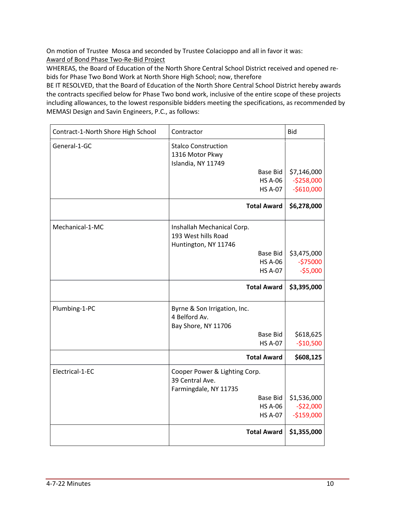On motion of Trustee Mosca and seconded by Trustee Colacioppo and all in favor it was: Award of Bond Phase Two-Re-Bid Project

WHEREAS, the Board of Education of the North Shore Central School District received and opened rebids for Phase Two Bond Work at North Shore High School; now, therefore

BE IT RESOLVED, that the Board of Education of the North Shore Central School District hereby awards the contracts specified below for Phase Two bond work, inclusive of the entire scope of these projects including allowances, to the lowest responsible bidders meeting the specifications, as recommended by MEMASI Design and Savin Engineers, P.C., as follows:

| Contract-1-North Shore High School | Contractor                                                                | <b>Bid</b>  |
|------------------------------------|---------------------------------------------------------------------------|-------------|
| General-1-GC                       | <b>Stalco Construction</b><br>1316 Motor Pkwy<br>Islandia, NY 11749       |             |
|                                    | Base Bid                                                                  | \$7,146,000 |
|                                    | <b>HS A-06</b>                                                            | $-5258,000$ |
|                                    | <b>HS A-07</b>                                                            | $-$610,000$ |
|                                    | <b>Total Award</b>                                                        | \$6,278,000 |
| Mechanical-1-MC                    | Inshallah Mechanical Corp.                                                |             |
|                                    | 193 West hills Road                                                       |             |
|                                    | Huntington, NY 11746                                                      |             |
|                                    | <b>Base Bid</b>                                                           | \$3,475,000 |
|                                    | <b>HS A-06</b>                                                            | $-575000$   |
|                                    | <b>HS A-07</b>                                                            | $-55,000$   |
|                                    | <b>Total Award</b>                                                        | \$3,395,000 |
| Plumbing-1-PC                      | Byrne & Son Irrigation, Inc.<br>4 Belford Av.<br>Bay Shore, NY 11706      |             |
|                                    | <b>Base Bid</b>                                                           | \$618,625   |
|                                    | <b>HS A-07</b>                                                            | $-$10,500$  |
|                                    | <b>Total Award</b>                                                        | \$608,125   |
| Electrical-1-EC                    | Cooper Power & Lighting Corp.<br>39 Central Ave.<br>Farmingdale, NY 11735 |             |
|                                    | Base Bid                                                                  | \$1,536,000 |
|                                    | <b>HS A-06</b>                                                            | $-522,000$  |
|                                    | <b>HS A-07</b>                                                            | $-$159,000$ |
|                                    | <b>Total Award</b>                                                        | \$1,355,000 |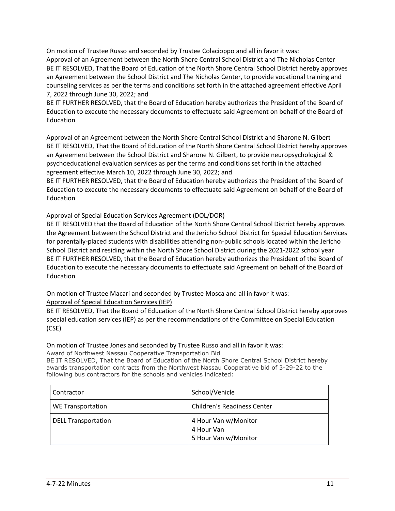On motion of Trustee Russo and seconded by Trustee Colacioppo and all in favor it was: Approval of an Agreement between the North Shore Central School District and The Nicholas Center BE IT RESOLVED, That the Board of Education of the North Shore Central School District hereby approves an Agreement between the School District and The Nicholas Center, to provide vocational training and counseling services as per the terms and conditions set forth in the attached agreement effective April 7, 2022 through June 30, 2022; and

BE IT FURTHER RESOLVED, that the Board of Education hereby authorizes the President of the Board of Education to execute the necessary documents to effectuate said Agreement on behalf of the Board of Education

Approval of an Agreement between the North Shore Central School District and Sharone N. Gilbert BE IT RESOLVED, That the Board of Education of the North Shore Central School District hereby approves an Agreement between the School District and Sharone N. Gilbert, to provide neuropsychological & psychoeducational evaluation services as per the terms and conditions set forth in the attached agreement effective March 10, 2022 through June 30, 2022; and

BE IT FURTHER RESOLVED, that the Board of Education hereby authorizes the President of the Board of Education to execute the necessary documents to effectuate said Agreement on behalf of the Board of Education

# Approval of Special Education Services Agreement (DOL/DOR)

BE IT RESOLVED that the Board of Education of the North Shore Central School District hereby approves the Agreement between the School District and the Jericho School District for Special Education Services for parentally-placed students with disabilities attending non-public schools located within the Jericho School District and residing within the North Shore School District during the 2021-2022 school year BE IT FURTHER RESOLVED, that the Board of Education hereby authorizes the President of the Board of Education to execute the necessary documents to effectuate said Agreement on behalf of the Board of Education

On motion of Trustee Macari and seconded by Trustee Mosca and all in favor it was:

# Approval of Special Education Services (IEP)

BE IT RESOLVED, That the Board of Education of the North Shore Central School District hereby approves special education services (IEP) as per the recommendations of the Committee on Special Education (CSE)

# On motion of Trustee Jones and seconded by Trustee Russo and all in favor it was:

Award of Northwest Nassau Cooperative Transportation Bid

BE IT RESOLVED, That the Board of Education of the North Shore Central School District hereby awards transportation contracts from the Northwest Nassau Cooperative bid of 3-29-22 to the following bus contractors for the schools and vehicles indicated:

| Contractor                 | School/Vehicle                                             |
|----------------------------|------------------------------------------------------------|
| <b>WE Transportation</b>   | <b>Children's Readiness Center</b>                         |
| <b>DELL Transportation</b> | 4 Hour Van w/Monitor<br>4 Hour Van<br>5 Hour Van w/Monitor |